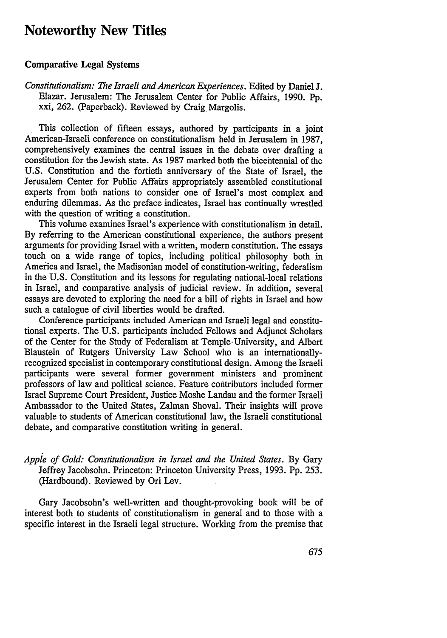# **Noteworthy New Titles**

### Comparative Legal Systems

*Constitutionalism: The Israeli and American Experiences.* Edited **by** Daniel **J.** Elazar. Jerusalem: The Jerusalem Center for Public Affairs, **1990. Pp.** xxi, 262. (Paperback). Reviewed **by** Craig Margolis.

This collection of fifteen essays, authored **by** participants in a joint American-Israeli conference on constitutionalism held in Jerusalem in **1987,** comprehensively examines the central issues in the debate over drafting a constitution for the Jewish state. As **1987** marked both the bicentennial of the **U.S.** Constitution and the fortieth anniversary of the State of Israel, the Jerusalem Center for Public Affairs appropriately assembled constitutional experts from both nations to consider one of Israel's most complex and enduring dilemmas. As the preface indicates, Israel has continually wrestled with the question of writing a constitution.

This volume examines Israel's experience with constitutionalism in detail. By referring to the American constitutional experience, the authors present arguments for providing Israel with a written, modern constitution. The essays touch on a wide range of topics, including political philosophy both in America and Israel, the Madisonian model of constitution-writing, federalism in the U.S. Constitution and its lessons for regulating national-local relations in Israel, and comparative analysis of judicial review. In addition, several essays are devoted to exploring the need for a bill of rights in Israel and how such a catalogue of civil liberties would be drafted.

Conference participants included American and Israeli legal and constitutional experts. The U.S. participants included Fellows and Adjunct Scholars of the Center for the Study of Federalism at Temple-University, and Albert Blaustein of Rutgers University Law School who is an internationallyrecognized specialist in contemporary constitutional design. Among the Israeli participants were several former government ministers and prominent professors of law and political science. Feature contributors included former Israel Supreme Court President, Justice Moshe Landau and the former Israeli Ambassador to the United States, Zalman Shoval. Their insights will prove valuable to students of American constitutional law, the Israeli constitutional debate, and comparative constitution writing in general.

*Apple of Gold: Constitutionalism in Israel and the United States.* By Gary Jeffrey Jacobsohn. Princeton: Princeton University Press, 1993. Pp. 253. (Hardbound). Reviewed by Ori Lev.

Gary Jacobsohn's well-written and thought-provoking book will be of interest both to students of constitutionalism in general and to those with a specific interest in the Israeli legal structure. Working from the premise that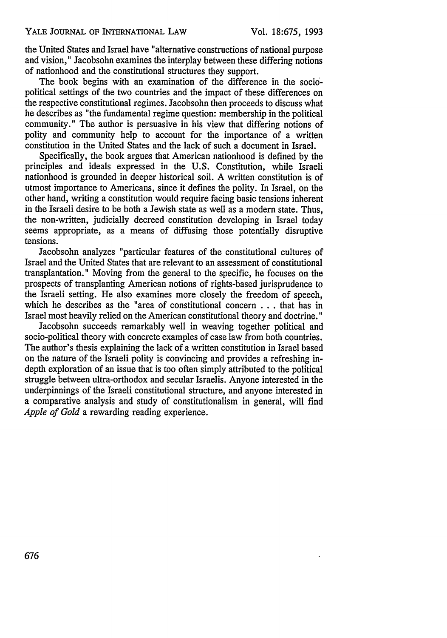the United States and Israel have "alternative constructions of national purpose and vision," Jacobsohn examines the interplay between these differing notions of nationhood and the constitutional structures they support.

The book begins with an examination of the difference in the sociopolitical settings of the two countries and the impact of these differences on the respective constitutional regimes. Jacobsohn then proceeds to discuss what he describes as "the fundamental regime question: membership in the political community." The author is persuasive in his view that differing notions of polity and community help to account for the importance of a written constitution in the United States and the lack of such a document in Israel.

Specifically, the book argues that American nationhood is defined by the principles and ideals expressed in the U.S. Constitution, while Israeli nationhood is grounded in deeper historical soil. A written constitution is of utmost importance to Americans, since it defines the polity. In Israel, on the other hand, writing a constitution would require facing basic tensions inherent in the Israeli desire to be both a Jewish state as well as a modern state. Thus, the non-written, judicially decreed constitution developing in Israel today seems appropriate, as a means of diffusing those potentially disruptive tensions.

Jacobsohn analyzes "particular features of the constitutional cultures of Israel and the United States that are relevant to an assessment of constitutional transplantation." Moving from the general to the specific, he focuses on the prospects of transplanting American notions of rights-based jurisprudence to the Israeli setting. He also examines more closely the freedom of speech, which he describes as the "area of constitutional concern . . . that has in Israel most heavily relied on the American constitutional theory and doctrine."

Jacobsohn succeeds remarkably well in weaving together political and socio-political theory with concrete examples of case law from both countries. The author's thesis explaining the lack of a written constitution in Israel based on the nature of the Israeli polity is convincing and provides a refreshing indepth exploration of an issue that is too often simply attributed to the political struggle between ultra-orthodox and secular Israelis. Anyone interested in the underpinnings of the Israeli constitutional structure, and anyone interested in a comparative analysis and study of constitutionalism in general, will find *Apple of Gold* a rewarding reading experience.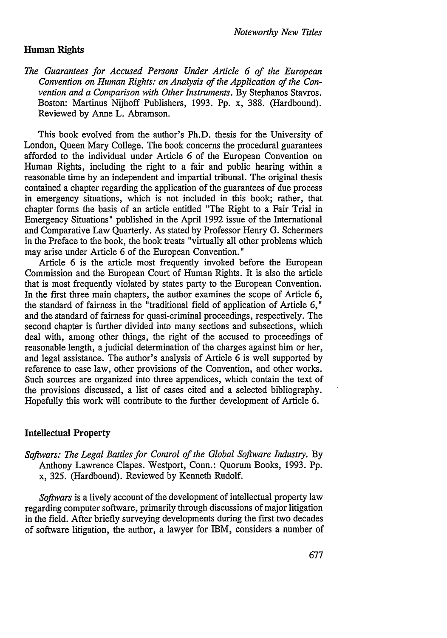#### **Human Rights**

*The Guarantees for Accused Persons Under Article 6 of the European Convention on Human Rights: an Analysis of the Application of the Convention and a Comparison with Other Instruments.* **By** Stephanos Stavros. Boston: Martinus **Nijhoff** Publishers, **1993. Pp.** x, 388. (Hardbound). Reviewed **by** Anne L. Abramson.

This book evolved from the author's Ph.D. thesis for the University of London, Queen Mary College. The book concerns the procedural guarantees afforded to the individual under Article 6 of the European Convention on Human Rights, including the right to a fair and public hearing within a reasonable time **by** an independent and impartial tribunal. The original thesis contained a chapter regarding the application of the guarantees of due process in emergency situations, which is not included in this book; rather, that chapter forms the basis of an article entitled "The Right to a Fair Trial in Emergency Situations" published in the April 1992 issue of the International and Comparative Law Quarterly. As stated by Professor Henry G. Schermers in the Preface to the book, the book treats "virtually all other problems which may arise under Article 6 of the European Convention."

Article 6 is the article most frequently invoked before the European Commission and the European Court of Human Rights. It is also the article that is most frequently violated by states party to the European Convention. In the first three main chapters, the author examines the scope of Article 6, the standard of fairness in the "traditional field of application of Article 6," and the standard of fairness for quasi-criminal proceedings, respectively. The second chapter is further divided into many sections and subsections, which deal with, among other things, the right of the accused to proceedings of reasonable length, a judicial determination of the charges against him or her, and legal assistance. The author's analysis of Article 6 is well supported by reference to case law, other provisions of the Convention, and other works. Such sources are organized into three appendices, which contain the text of the provisions discussed, a list of cases cited and a selected bibliography. Hopefully this work will contribute to the further development of Article 6.

#### Intellectual Property

*Softwars: The Legal Battles for Control of the Global Software Industry.* By Anthony Lawrence Clapes. Westport, Conn.: Quorum Books, 1993. Pp. x, 325. (Hardbound). Reviewed by Kenneth Rudolf.

*Softwars* is a lively account of the development of intellectual property law regarding computer software, primarily through discussions of major litigation in the field. After briefly surveying developments during the first two decades of software litigation, the author, a lawyer for IBM, considers a number of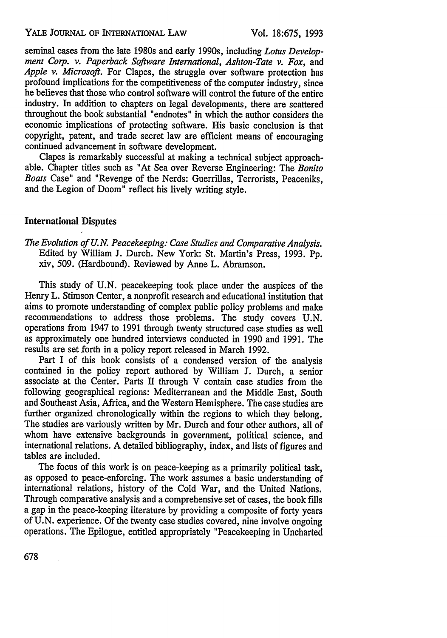seminal cases from the late 1980s and early 1990s, including *Lotus Development Corp. v. Paperback Software International, Ashton-Tate v. Fox,* and *Apple v. Microsoft.* For Clapes, the struggle over software protection has profound implications for the competitiveness of the computer industry, since he believes that those who control software will control the future of the entire industry. In addition to chapters on legal developments, there are scattered throughout the book substantial "endnotes" in which the author considers the economic implications of protecting software. His basic conclusion is that copyright, patent, and trade secret law are efficient means of encouraging continued advancement in software development.

Clapes is remarkably successful at making a technical subject approachable. Chapter titles such as "At Sea over Reverse Engineering: The *Bonito Boats* Case" and "Revenge of the Nerds: Guerrillas, Terrorists, Peaceniks, and the Legion of Doom" reflect his lively writing style.

# International Disputes

*The Evolution of U.N. Peacekeeping: Case Studies and Comparative Analysis.* Edited **by** William **J.** Durch. New York: St. Martin's Press, **1993. Pp.** xiv, **509.** (Hardbound). Reviewed **by** Anne L. Abramson.

This study of **U.N.** peacekeeping took place under the auspices of the Henry L. Stimson Center, a nonprofit research and educational institution that aims to promote understanding of complex public policy problems and make recommendations to address those problems. The study covers **U.N.** operations from 1947 to **1991** through twenty structured case studies as well as approximately one hundred interviews conducted in **1990** and 1991. The results are set forth in a policy report released in March 1992.

Part I of this book consists of a condensed version of the analysis contained in the policy report authored by William J. Durch, a senior associate at the Center. Parts II through V contain case studies from the following geographical regions: Mediterranean and the Middle East, South and Southeast Asia, Africa, and the Western Hemisphere. The case studies are further organized chronologically within the regions to which they belong. The studies are variously written by Mr. Durch and four other authors, all of whom have extensive backgrounds in government, political science, and international relations. A detailed bibliography, index, and lists of figures and tables are included.

The focus of this work is on peace-keeping as a primarily political task, as opposed to peace-enforcing. The work assumes a basic understanding of international relations, history of the Cold War, and the United Nations. Through comparative analysis and a comprehensive set of cases, the book fills a gap in the peace-keeping literature by providing a composite of forty years of **U.N.** experience. Of the twenty case studies covered, nine involve ongoing operations. The Epilogue, entitled appropriately "Peacekeeping in Uncharted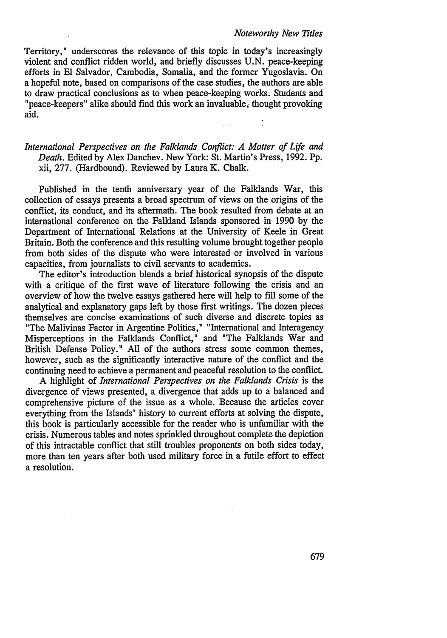#### *Noteworthy New Titles*

Territory," underscores the relevance of this topic in today's increasingly violent and conflict ridden world, and briefly discusses **U.N.** peace-keeping efforts in **El** Salvador, Cambodia, Somalia, and the former Yugoslavia. On a hopeful note, based on comparisons of the case studies, the authors are able to draw practical conclusions as to when peace-keeping works. Students and "peace-keepers" alike should find this work an invaluable, thought provoking aid.

# *International Perspectives on the Falklands Conflict: A Matter of Life and Death.* Edited **by** Alex Danchev. New York: St. Martin's Press, **1992. Pp.** xii, **277.** (Hardbound). Reviewed **by** Laura K. Chalk.

 $\mathbb{R}^2$ 

Published in the tenth anniversary year of the Falklands War, this collection of essays presents a broad spectrum of views on the origins of the conflict, its conduct, and its aftermath. The book resulted from debate at an international conference on the Falkland Islands sponsored in **1990 by** the Department of International Relations at the University of Keele in Great Britain. Both the conference and this resulting volume brought together people from both sides of the dispute who were interested or involved in various capacities, from journalists to civil servants to academics.

The editor's introduction blends a brief historical synopsis of the dispute with a critique of the first wave of literature following the crisis and an overview of how the twelve essays gathered here will help to fill some of the analytical and explanatory gaps left by those first writings. The dozen pieces themselves are concise examinations of such diverse and discrete topics as "The Malivinas Factor in Argentine Politics," "International and Interagency Misperceptions in the Falklands Conflict," and "The Falklands War and British Defense Policy." All of the authors stress some common themes, however, such as the significantly interactive nature of the conflict and the continuing need to achieve a permanent and peaceful resolution to the conflict.

A highlight of *International Perspectives on the Falklands Crisis* is the divergence of views presented, a divergence that adds up to a balanced and comprehensive picture of the issue as a whole. Because the articles cover everything from the Islands' history to current efforts at solving the dispute, this book is particularly accessible for the reader who is unfamiliar with the crisis. Numerous tables and notes sprinkled throughout complete the depiction of this intractable conflict that still troubles proponents on both sides today, more than ten years after both used military force in a futile effort to effect a resolution.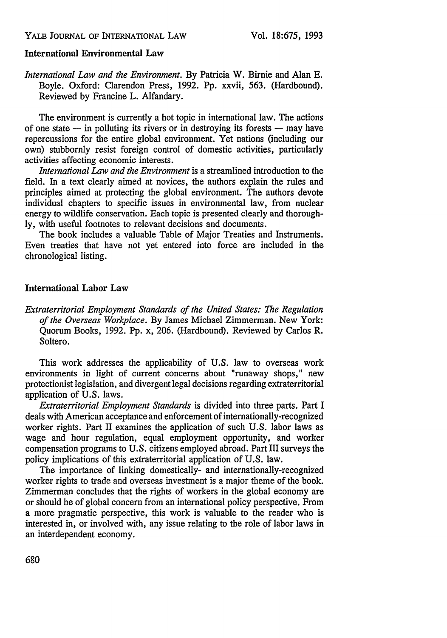# International Environmental Law

*International Law and the Environment.* **By** Patricia W. Birnie and Alan **E.** Boyle. Oxford: Clarendon Press, **1992. Pp.** xxvii, **563.** (Hardbound). Reviewed **by** Francine L. Alfandary.

The environment is currently a hot topic in international law. The actions of one state **-** in polluting its rivers or in destroying its forests **-** may have repercussions for the entire global environment. Yet nations (including our own) stubbornly resist foreign control of domestic activities, particularly activities affecting economic interests.

*International Law and the Environment* is a streamlined introduction to the field. In a text clearly aimed at novices, the authors explain the rules and principles aimed at protecting the global environment. The authors devote individual chapters to specific issues in environmental law, from nuclear energy to wildlife conservation. Each topic is presented clearly and thorough**ly,** with useful footnotes to relevant decisions and documents.

The book includes a valuable Table of Major Treaties and Instruments. Even treaties that have not yet entered into force are included in the chronological listing.

# International Labor Law

*Extraterritorial Employment Standards of the United States: The Regulation of the Overseas Workplace.* **By** James Michael Zimmerman. New York: Quorum Books, **1992. Pp.** x, **206.** (Hardbound). Reviewed **by** Carlos R. Soltero.

This work addresses the applicability of **U.S.** law to overseas work environments in light of current concerns about "runaway shops," new protectionist legislation, and divergent legal decisions regarding extraterritorial application of **U.S.** laws.

*Extraterritorial Employment Standards* is divided into three parts. Part I deals with American acceptance and enforcement of internationally-recognized worker rights. Part II examines the application of such U.S. labor laws as wage and hour regulation, equal employment opportunity, and worker compensation programs to U.S. citizens employed abroad. Part III surveys the policy implications of this extraterritorial application of U.S. law.

The importance of linking domestically- and internationally-recognized worker rights to trade and overseas investment is a major theme of the book. Zimmerman concludes that the rights of workers in the global economy are or should be of global concern from an international policy perspective. From a more pragmatic perspective, this work is valuable to the reader who is interested in, or involved with, any issue relating to the role of labor laws in an interdependent economy.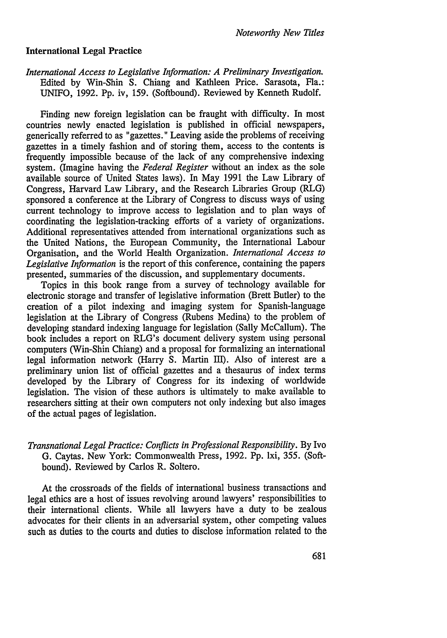## International Legal Practice

*International Access to Legislative Information: A Preliminary Investigation.* Edited **by** Win-Shin **S.** Chiang and Kathleen Price. Sarasota, Fla.: UNIFO, **1992. Pp.** iv, **159.** (Softbound). Reviewed **by** Kenneth Rudolf.

Finding new foreign legislation can be fraught with difficulty. In most countries newly enacted legislation is published in official newspapers, generically referred to as "gazettes." Leaving aside the problems of receiving gazettes in a timely fashion and of storing them, access to the contents is frequently impossible because of the lack of any comprehensive indexing system. (Imagine having the *Federal Register* without an index as the sole available source of United States laws). In May **1991** the Law Library of Congress, Harvard Law Library, and the Research Libraries Group (RLG) sponsored a conference at the Library of Congress to discuss ways of using current technology to improve access to legislation and to plan ways of coordinating the legislation-tracking efforts of a variety of organizations. Additional representatives attended from international organizations such as the United Nations, the European Community, the International Labour Organisation, and the World Health Organization. *International Access to Legislative Information* is the report of this conference, containing the papers presented, summaries of the discussion, and supplementary documents.

Topics in this book range from a survey of technology available for electronic storage and transfer of legislative information (Brett Butler) to the creation of a pilot indexing and imaging system for Spanish-language legislation at the Library of Congress (Rubens Medina) to the problem of developing standard indexing language for legislation (Sally McCallum). The book includes a report on RLG's document delivery system using personal computers (Win-Shin Chiang) and a proposal for formalizing an international legal information network (Harry **S.** Martin III). Also of interest are a preliminary union list of official gazettes and a thesaurus of index terms developed **by** the Library of Congress for its indexing of worldwide legislation. The vision of these authors is ultimately to make available to researchers sitting at their own computers not only indexing but also images of the actual pages of legislation.

# *Transnational Legal Practice: Conflicts in Professional Responsibility.* **By** Ivo **G.** Caytas. New York: Commonwealth Press, **1992. Pp.** lxi, **355.** (Softbound). Reviewed **by** Carlos R. Soltero.

At the crossroads of the fields of international business transactions and legal ethics are a host of issues revolving around lawyers' responsibilities to their international clients. While all lawyers have a duty to be zealous advocates for their clients in an adversarial system, other competing values such as duties to the courts and duties to disclose information related to the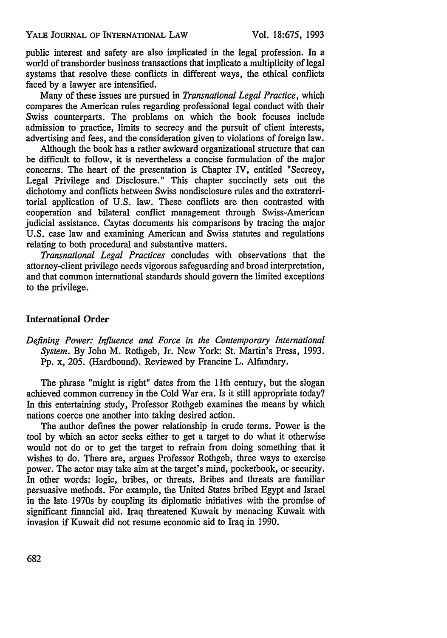public interest and safety are also implicated in the legal profession. In a world of transborder business transactions that implicate a multiplicity of legal systems that resolve these conflicts in different ways, the ethical conflicts faced by a lawyer are intensified.

Many of these issues are pursued in *Transnational Legal Practice,* which compares the American rules regarding professional legal conduct with their Swiss counterparts. The problems on which the book focuses include admission to practice, limits to secrecy and the pursuit of client interests, advertising and fees, and the consideration given to violations of foreign law.

Although the book has a rather awkward organizational structure that can be difficult to follow, it is nevertheless a concise formulation of the major concerns. The heart of the presentation is Chapter IV, entitled "Secrecy, Legal Privilege and Disclosure." This chapter succinctly sets out the dichotomy and conflicts between Swiss nondisclosure rules and the extraterritorial application of U.S. law. These conflicts are then contrasted with cooperation and bilateral conflict management through Swiss-American judicial assistance. Caytas documents his comparisons by tracing the major U.S. case law and examining American and Swiss statutes and regulations relating to both procedural and substantive matters.

*Transnational Legal Practices* concludes with observations that the attorney-client privilege needs vigorous safeguarding and broad interpretation, and that common international standards should govern the limited exceptions to the privilege.

## International Order

*Defining Power: Influence and Force in the Contemporary International System.* By John M. Rothgeb, Jr. New York: St. Martin's Press, 1993. Pp. x, 205. (Hardbound). Reviewed by Francine L. Alfandary.

The phrase "might is right" dates from the l1th century, but the slogan achieved common currency in the Cold War era. Is it still appropriate today? In this entertaining study, Professor Rothgeb examines the means by which nations coerce one another into taking desired action.

The author defines the power relationship in crude terms. Power is the tool by which an actor seeks either to get a target to do what it otherwise would not do or to get the target to refrain from doing something that it wishes to do. There are, argues Professor Rothgeb, three ways to exercise power. The actor may take aim at the target's mind, pocketbook, or security. In other words: logic, bribes, or threats. Bribes and threats are familiar persuasive methods. For example, the United States bribed Egypt and Israel in the late 1970s by coupling its diplomatic initiatives with the promise of significant financial aid. Iraq threatened Kuwait by menacing Kuwait with invasion if Kuwait did not resume economic aid to Iraq in 1990.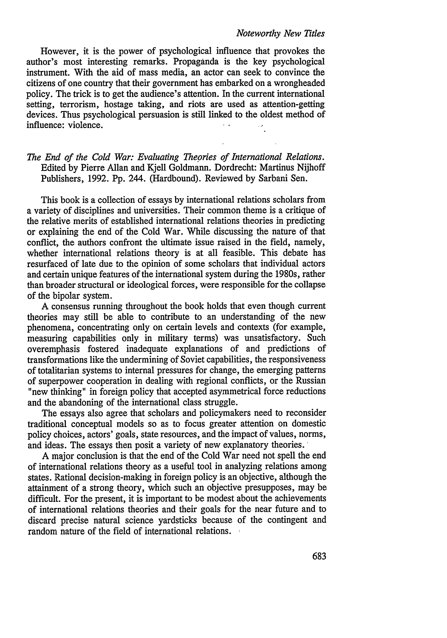#### *Noteworthy New Titles*

However, it is the power of psychological influence that provokes the author's most interesting remarks. Propaganda is the key psychological instrument. With the aid of mass media, an actor can seek to convince the citizens of one country that their government has embarked on a wrongheaded policy. The trick is to get the audience's attention. In the current international setting, terrorism, hostage taking, and riots are used as attention-getting devices. Thus psychological persuasion is still linked to the oldest method of influence: violence.

# *The End of the Cold War: Evaluating Theories of International Relations.* Edited by Pierre Allan and Kjell Goldmann. Dordrecht: Martinus Nijhoff Publishers, 1992. Pp. 244. (Hardbound). Reviewed by Sarbani Sen.

This book is a collection of essays by international relations scholars from a variety of disciplines and universities. Their common theme is a critique of the relative merits of established international relations theories in predicting or explaining the end of the Cold War. While discussing the nature of that conflict, the authors confront the ultimate issue raised in the field, namely, whether international relations theory is at all feasible. This debate has resurfaced of late due to the opinion of some scholars that individual actors and certain unique features of the international system during the 1980s, rather than broader structural or ideological forces, were responsible for the collapse of the bipolar system.

A consensus running throughout the book holds that even though current theories may still be able to contribute to an understanding of the new phenomena, concentrating only on certain levels and contexts (for example, measuring capabilities only in military terms) was unsatisfactory. Such overemphasis fostered inadequate explanations of and predictions of transformations like the undermining of Soviet capabilities, the responsiveness of totalitarian systems to internal pressures for change, the emerging patterns of superpower cooperation in dealing with regional conflicts, or the Russian "new thinking" in foreign policy that accepted asymmetrical force reductions and the abandoning of the international class struggle.

The essays also agree that scholars and policymakers need to reconsider traditional conceptual models so as to focus greater attention on domestic policy choices, actors' goals, state resources, and the impact of values, norms, and ideas. The essays then posit a variety of new explanatory theories.

A major conclusion is that the end of the Cold War need not spell the end of international relations theory as a useful tool in analyzing relations among states. Rational decision-making in foreign policy is an objective, although the attainment of a strong theory, which such an objective presupposes, may be difficult. For the present, it is important to be modest about the achievements of international relations theories and their goals for the near future and to discard precise natural science yardsticks because of the contingent and random nature of the field of international relations.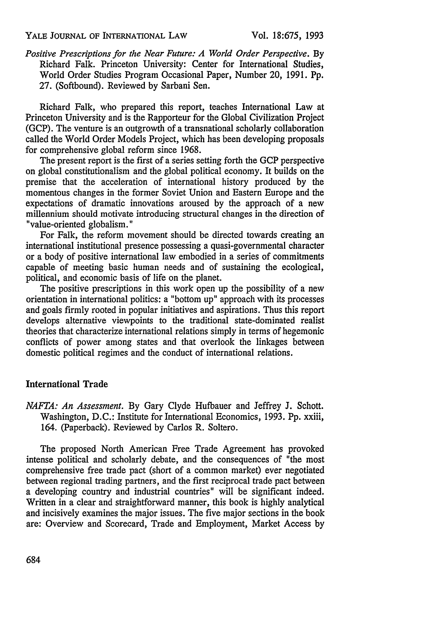#### YALE **JOURNAL** OF INTERNATIONAL LAW

*Positive Prescriptions for the Near Future: A World Order Perspective.* By Richard Falk. Princeton University: Center for International Studies, World Order Studies Program Occasional Paper, Number 20, 1991. Pp. 27. (Softbound). Reviewed by Sarbani Sen.

Richard Falk, who prepared this report, teaches International Law at Princeton University and is the Rapporteur for the Global Civilization Project (GCP). The venture is an outgrowth of a transnational scholarly collaboration called the World Order Models Project, which has been developing proposals for comprehensive global reform since 1968.

The present report is the first of a series setting forth the GCP perspective on global constitutionalism and the global political economy. It builds on the premise that the acceleration of international history produced by the momentous changes in the former Soviet Union and Eastern Europe and the expectations of dramatic innovations aroused by the approach of a new millennium should motivate introducing structural changes in the direction of "value-oriented globalism."

For Falk, the reform movement should be directed towards creating an international institutional presence possessing a quasi-governmental character or a body of positive international law embodied in a series of commitments capable of meeting basic human needs and of sustaining the ecological, political, and economic basis of life on the planet.

The positive prescriptions in this work open up the possibility of a new orientation in international politics: a "bottom up" approach with its processes and goals firmly rooted in popular initiatives and aspirations. Thus this report develops alternative viewpoints to the traditional state-dominated realist theories that characterize international relations simply in terms of hegemonic conflicts of power among states and that overlook the linkages between domestic political regimes and the conduct of international relations.

## International Trade

*NAFTA: An Assessment.* By Gary Clyde Hufbauer and Jeffrey J. Schott. Washington, D.C.: Institute for International Economics, 1993. Pp. xxiii, 164. (Paperback). Reviewed by Carlos R. Soltero.

The proposed North American Free Trade Agreement has provoked intense political and scholarly debate, and the consequences of "the most comprehensive free trade pact (short of a common market) ever negotiated between regional trading partners, and the first reciprocal trade pact between a developing country and industrial countries" will be significant indeed. Written in a clear and straightforward manner, this book is highly analytical and incisively examines the major issues. The five major sections in the book are: Overview and Scorecard, Trade and Employment, Market Access by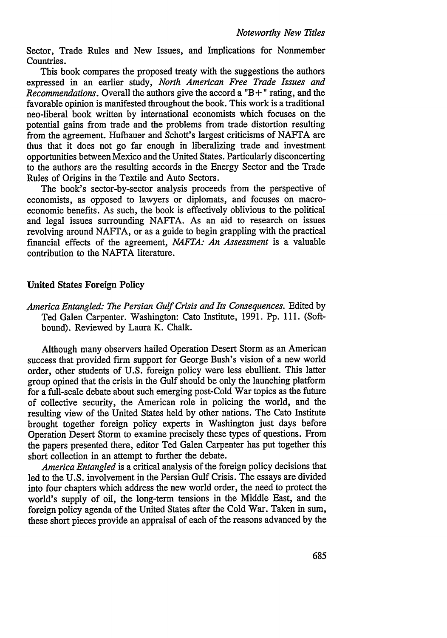Sector, Trade Rules and New Issues, and Implications for Nonmember Countries.

This book compares the proposed treaty with the suggestions the authors expressed in an earlier study, *North American Free Trade Issues and Recommendations.* Overall the authors give the accord a "B **+"** rating, and the favorable opinion is manifested throughout the book. This work is a traditional neo-liberal book written by international economists which focuses on the potential gains from trade and the problems from trade distortion resulting from the agreement. Hufbauer and Schott's largest criticisms of NAFTA are thus that it does not go far enough in liberalizing trade and investment opportunities between Mexico and the United States. Particularly disconcerting to the authors are the resulting accords in the Energy Sector and the Trade Rules of Origins in the Textile and Auto Sectors.

The book's sector-by-sector analysis proceeds from the perspective of economists, as opposed to lawyers or diplomats, and focuses on macroeconomic benefits. As such, the book is effectively oblivious to the political and legal issues surrounding NAFTA. As an aid to research on issues revolving around NAFTA, or as a guide to begin grappling with the practical financial effects of the agreement, *NAFTA: An Assessment* is a valuable contribution to the NAFTA literature.

#### United States Foreign Policy

*America Entangled: The Persian Gulf Crisis and Its Consequences.* Edited by Ted Galen Carpenter. Washington: Cato Institute, 1991. Pp. 111. (Softbound). Reviewed by Laura K. Chalk.

Although many observers hailed Operation Desert Storm as an American success that provided firm support for George Bush's vision of a new world order, other students of U.S. foreign policy were less ebullient. This latter group opined that the crisis in the Gulf should be only the launching platform for a full-scale debate about such emerging post-Cold War topics as the future of collective security, the American role in policing the world, and the resulting view of the United States held by other nations. The Cato Institute brought together foreign policy experts in Washington just days before Operation Desert Storm to examine precisely these types of questions. From the papers presented there, editor Ted Galen Carpenter has put together this short collection in an attempt to further the debate.

*America Entangled* is a critical analysis of the foreign policy decisions that led to the U.S. involvement in the Persian Gulf Crisis. The essays are divided into four chapters which address the new world order, the need to protect the world's supply of oil, the long-term tensions in the Middle East, and the foreign policy agenda of the United States after the Cold War. Taken in sum, these short pieces provide an appraisal of each of the reasons advanced by the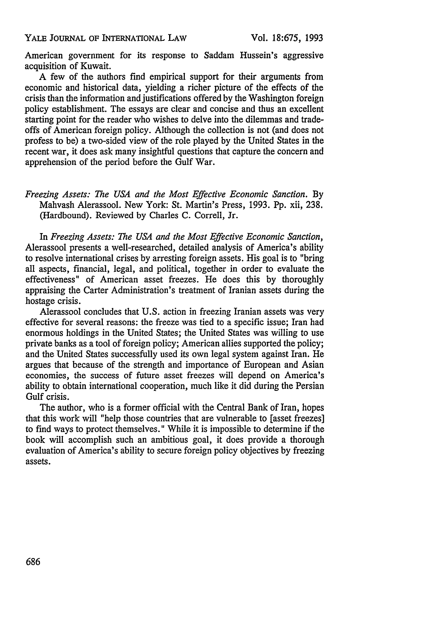American government for its response to Saddam Hussein's aggressive acquisition of Kuwait.

A few of the authors find empirical support for their arguments from economic and historical data, yielding a richer picture of the effects of the crisis than the information and justifications offered by the Washington foreign policy establishment. The essays are clear and concise and thus an excellent starting point for the reader who wishes to delve into the dilemmas and tradeoffs of American foreign policy. Although the collection is not (and does not profess to be) a two-sided view of the role played by the United States in the recent war, it does ask many insightful questions that capture the concern and apprehension of the period before the Gulf War.

*Freezing Assets: The USA and the Most Effective Economic Sanction.* **By** Mahvash Alerassool. New York: St. Martin's Press, 1993. Pp. xii, 238. (Hardbound). Reviewed by Charles C. Correll, Jr.

In *Freezing Assets: The USA and the Most Effective Economic Sanction,* Alerassool presents a well-researched, detailed analysis of America's ability to resolve international crises by arresting foreign assets. His goal is to "bring all aspects, financial, legal, and political, together in order to evaluate the effectiveness" of American asset freezes. He does this by thoroughly appraising the Carter Administration's treatment of Iranian assets during the hostage crisis.

Alerassool concludes that U.S. action in freezing Iranian assets was very effective for several reasons: the freeze was tied to a specific issue; Iran had enormous holdings in the United States; the United States was willing to use private banks as a tool of foreign policy; American allies supported the policy; and the United States successfully used its own legal system against Iran. He argues that because of the strength and importance of European and Asian economies, the success of future asset freezes will depend on America's ability to obtain international cooperation, much like it did during the Persian Gulf crisis.

The author, who is a former official with the Central Bank of Iran, hopes that this work will "help those countries that are vulnerable to [asset freezes] to find ways to protect themselves." While it is impossible to determine if the book will accomplish such an ambitious goal, it does provide a thorough evaluation of America's ability to secure foreign policy objectives by freezing assets.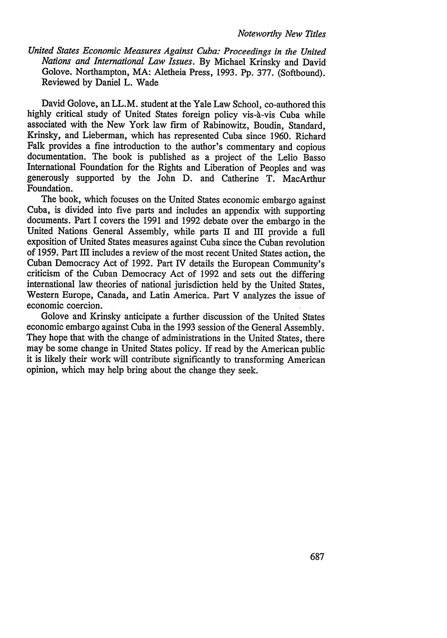*United States Economic Measures Against Cuba: Proceedings in the United Nations and International Law Issues.* By Michael Krinsky and David Golove. Northampton, MA: Aletheia Press, 1993. Pp. 377. (Softbound). Reviewed by Daniel L. Wade

David Golove, an LL.M. student at the Yale Law School, co-authored this highly critical study of United States foreign policy vis-à-vis Cuba while associated with the New York law firm of Rabinowitz, Boudin, Standard, Krinsky, and Lieberman, which has represented Cuba since 1960. Richard Falk provides a fine introduction to the author's commentary and copious documentation. The book is published as a project of the Lelio Basso International Foundation for the Rights and Liberation of Peoples and was generously supported by the John D. and Catherine T. MacArthur Foundation.

The book, which focuses on the United States economic embargo against Cuba, is divided into five parts and includes an appendix with supporting documents. Part I covers the 1991 and 1992 debate over the embargo in the United Nations General Assembly, while parts II and III provide a full exposition of United States measures against Cuba since the Cuban revolution of 1959. Part III includes a review of the most recent United States action, the Cuban Democracy Act of 1992. Part IV details the European Community's criticism of the Cuban Democracy Act of 1992 and sets out the differing international law theories of national jurisdiction held by the United States, Western Europe, Canada, and Latin America. Part V analyzes the issue of economic coercion.

Golove and Krinsky anticipate a further discussion of the United States economic embargo against Cuba in the 1993 session of the General Assembly. They hope that with the change of administrations in the United States, there may be some change in United States policy. If read by the American public it is likely their work will contribute significantly to transforming American opinion, which may help bring about the change they seek.